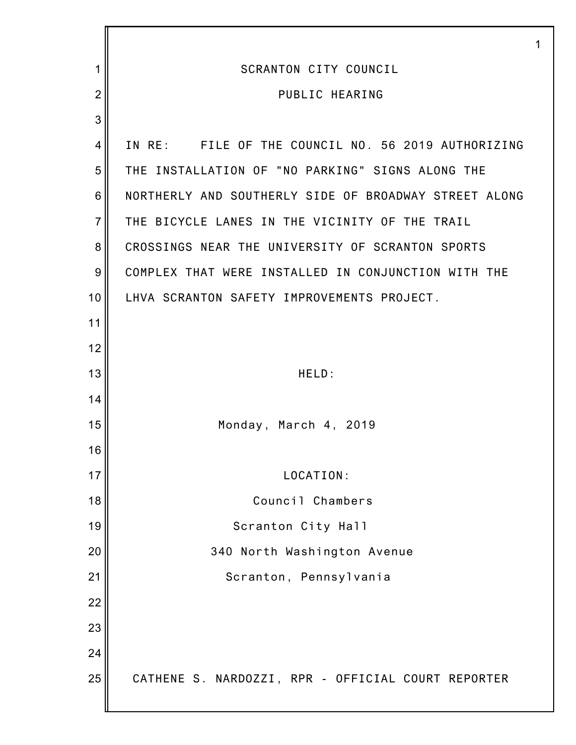|                |                                                       | 1 |
|----------------|-------------------------------------------------------|---|
| 1              | <b>SCRANTON CITY COUNCIL</b>                          |   |
| $\overline{2}$ | PUBLIC HEARING                                        |   |
| 3              |                                                       |   |
| 4              | IN RE: FILE OF THE COUNCIL NO. 56 2019 AUTHORIZING    |   |
| 5              | THE INSTALLATION OF "NO PARKING" SIGNS ALONG THE      |   |
| 6              | NORTHERLY AND SOUTHERLY SIDE OF BROADWAY STREET ALONG |   |
| $\overline{7}$ | THE BICYCLE LANES IN THE VICINITY OF THE TRAIL        |   |
| 8              | CROSSINGS NEAR THE UNIVERSITY OF SCRANTON SPORTS      |   |
| 9              | COMPLEX THAT WERE INSTALLED IN CONJUNCTION WITH THE   |   |
| 10             | LHVA SCRANTON SAFETY IMPROVEMENTS PROJECT.            |   |
| 11             |                                                       |   |
| 12             |                                                       |   |
| 13             | HELD:                                                 |   |
| 14             |                                                       |   |
| 15             | Monday, March 4, 2019                                 |   |
| 16             |                                                       |   |
| 17             | LOCATION:                                             |   |
| 18             | Council Chambers                                      |   |
| 19             | Scranton City Hall                                    |   |
| 20             | 340 North Washington Avenue                           |   |
| 21             | Scranton, Pennsylvania                                |   |
| 22             |                                                       |   |
| 23             |                                                       |   |
| 24             |                                                       |   |
| 25             | CATHENE S. NARDOZZI, RPR - OFFICIAL COURT REPORTER    |   |
|                |                                                       |   |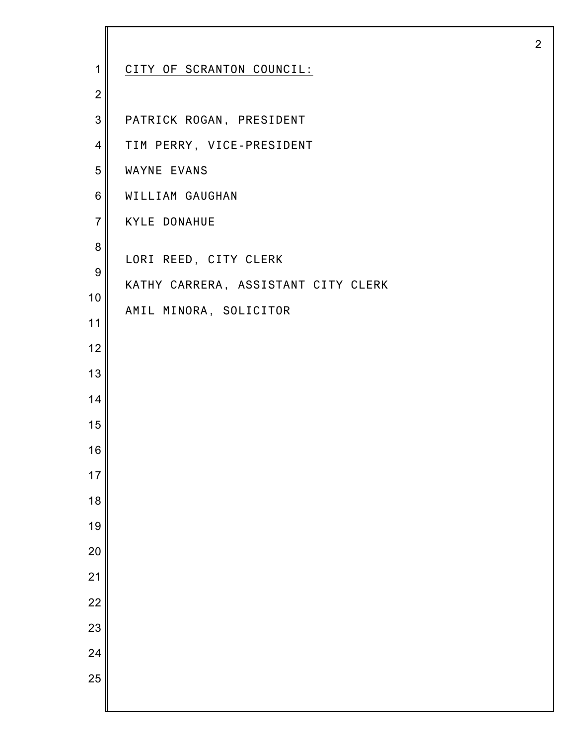| 1                | CITY OF SCRANTON COUNCIL:           |
|------------------|-------------------------------------|
| $\overline{2}$   |                                     |
| 3                | PATRICK ROGAN, PRESIDENT            |
| 4                | TIM PERRY, VICE-PRESIDENT           |
| 5                | WAYNE EVANS                         |
| 6                | WILLIAM GAUGHAN                     |
| $\overline{7}$   | <b>KYLE DONAHUE</b>                 |
| 8                | LORI REED, CITY CLERK               |
| $\boldsymbol{9}$ | KATHY CARRERA, ASSISTANT CITY CLERK |
| 10               | AMIL MINORA, SOLICITOR              |
| 11               |                                     |
| 12               |                                     |
| 13               |                                     |
| 14               |                                     |
| 15               |                                     |
| 16               |                                     |
| 17               |                                     |
| 18               |                                     |
| 19               |                                     |
| 20               |                                     |
| 21               |                                     |
| 22               |                                     |
| 23               |                                     |
| 24               |                                     |
| 25               |                                     |
|                  |                                     |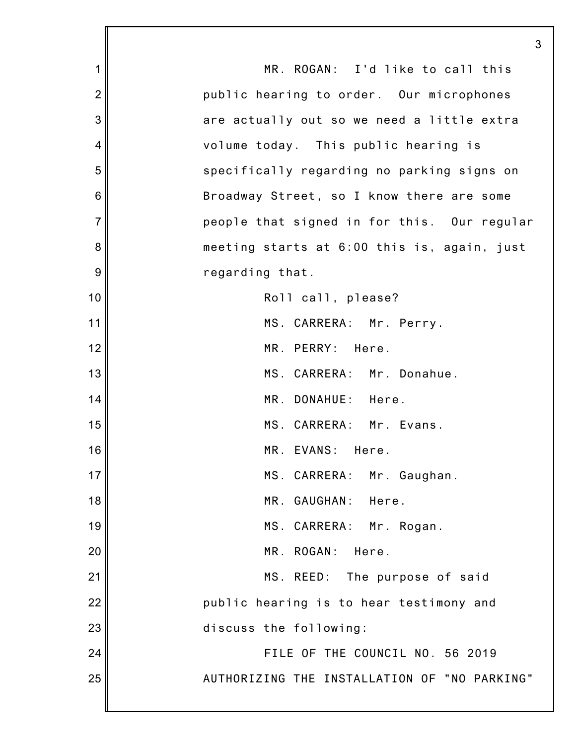1 2 3 4 5 6 7 8 9 10 11 12 13 14 15 16 17 18 19 20 21 22 23 24 25 3 MR. ROGAN: I'd like to call this public hearing to order. Our microphones are actually out so we need a little extra volume today. This public hearing is specifically regarding no parking signs on Broadway Street, so I know there are some people that signed in for this. Our regular meeting starts at 6:00 this is, again, just regarding that. Roll call, please? MS. CARRERA: Mr. Perry. MR. PERRY: Here. MS. CARRERA: Mr. Donahue. MR. DONAHUE: Here. MS. CARRERA: Mr. Evans. MR. EVANS: Here. MS. CARRERA: Mr. Gaughan. MR. GAUGHAN: Here. MS. CARRERA: Mr. Rogan. MR. ROGAN: Here. MS. REED: The purpose of said public hearing is to hear testimony and discuss the following: FILE OF THE COUNCIL NO. 56 2019 AUTHORIZING THE INSTALLATION OF "NO PARKING"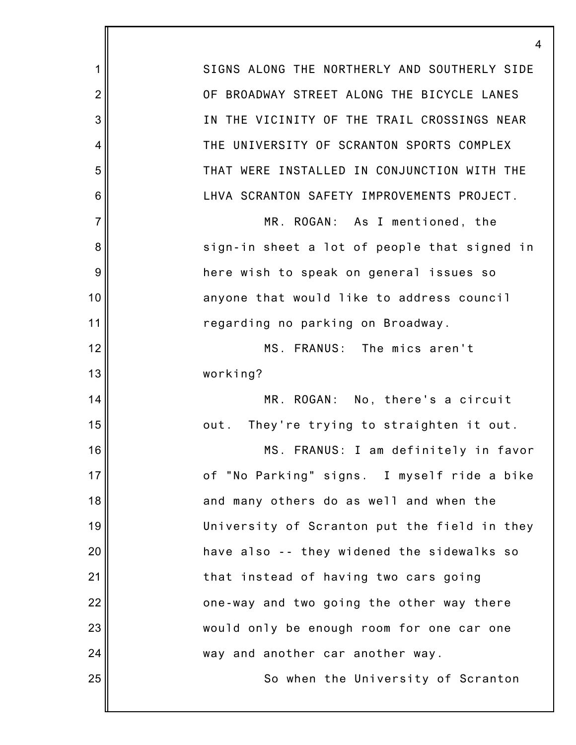SIGNS ALONG THE NORTHERLY AND SOUTHERLY SIDE OF BROADWAY STREET ALONG THE BICYCLE LANES IN THE VICINITY OF THE TRAIL CROSSINGS NEAR THE UNIVERSITY OF SCRANTON SPORTS COMPLEX THAT WERE INSTALLED IN CONJUNCTION WITH THE LHVA SCRANTON SAFETY IMPROVEMENTS PROJECT. MR. ROGAN: As I mentioned, the sign-in sheet a lot of people that signed in here wish to speak on general issues so anyone that would like to address council regarding no parking on Broadway. MS. FRANUS: The mics aren't working? MR. ROGAN: No, there's a circuit out. They're trying to straighten it out. MS. FRANUS: I am definitely in favor of "No Parking" signs. I myself ride a bike and many others do as well and when the University of Scranton put the field in they have also -- they widened the sidewalks so that instead of having two cars going one-way and two going the other way there would only be enough room for one car one way and another car another way. So when the University of Scranton

4

1

2

3

4

5

6

7

8

9

10

11

12

13

14

15

16

17

18

19

20

21

22

23

24

25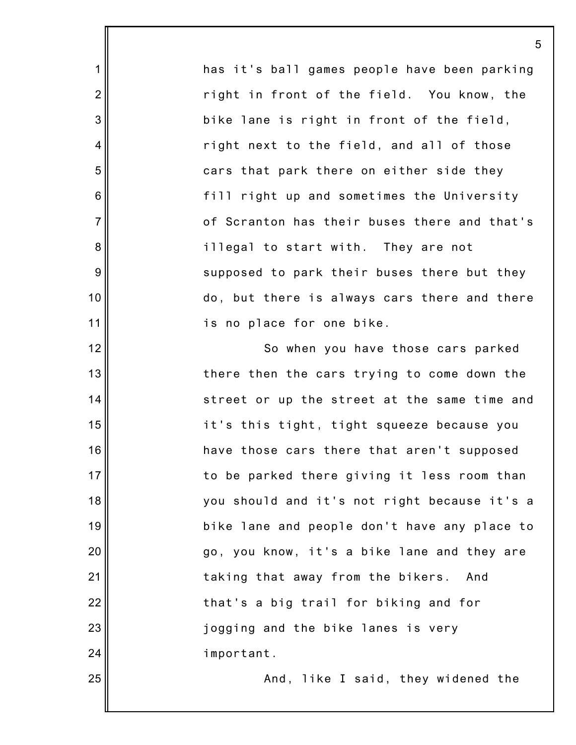has it's ball games people have been parking right in front of the field. You know, the bike lane is right in front of the field, right next to the field, and all of those cars that park there on either side they fill right up and sometimes the University of Scranton has their buses there and that's illegal to start with. They are not supposed to park their buses there but they do, but there is always cars there and there is no place for one bike.

1

2

3

4

5

6

7

8

9

10

11

12

13

14

15

16

17

18

19

20

21

22

23

24

25

So when you have those cars parked there then the cars trying to come down the street or up the street at the same time and it's this tight, tight squeeze because you have those cars there that aren't supposed to be parked there giving it less room than you should and it's not right because it's a bike lane and people don't have any place to go, you know, it's a bike lane and they are taking that away from the bikers. And that's a big trail for biking and for jogging and the bike lanes is very important.

And, like I said, they widened the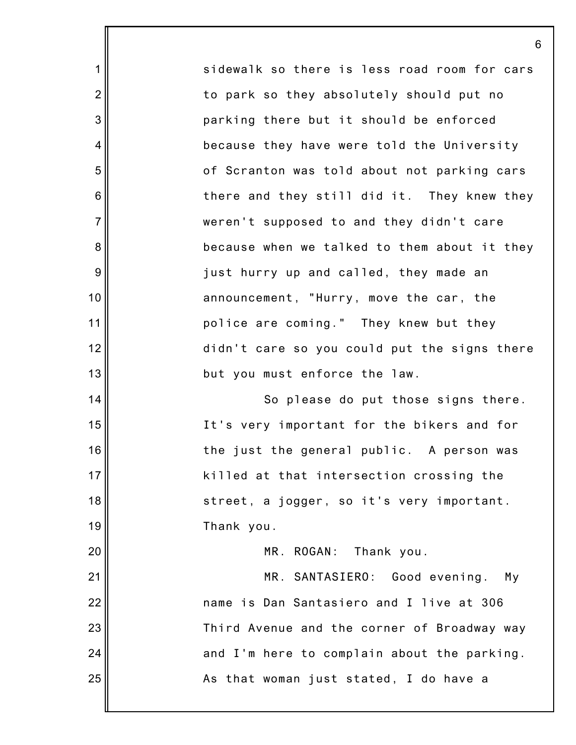sidewalk so there is less road room for cars to park so they absolutely should put no parking there but it should be enforced because they have were told the University of Scranton was told about not parking cars there and they still did it. They knew they weren't supposed to and they didn't care because when we talked to them about it they just hurry up and called, they made an announcement, "Hurry, move the car, the police are coming." They knew but they didn't care so you could put the signs there but you must enforce the law. So please do put those signs there.

6

1

2

3

4

5

6

7

8

9

10

11

12

13

14

15

16

17

18

19

20

21

22

23

24

25

It's very important for the bikers and for the just the general public. A person was killed at that intersection crossing the street, a jogger, so it's very important. Thank you.

MR. ROGAN: Thank you.

MR. SANTASIERO: Good evening. My name is Dan Santasiero and I live at 306 Third Avenue and the corner of Broadway way and I'm here to complain about the parking. As that woman just stated, I do have a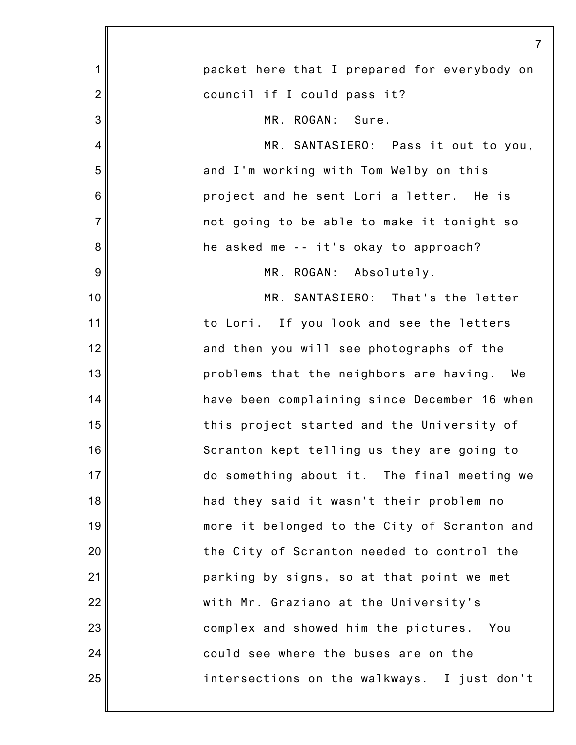|                | $\overline{7}$                               |
|----------------|----------------------------------------------|
| 1              | packet here that I prepared for everybody on |
| $\overline{2}$ | council if I could pass it?                  |
| 3              | MR. ROGAN:<br>Sure.                          |
| 4              | MR. SANTASIERO: Pass it out to you,          |
| 5              | and I'm working with Tom Welby on this       |
| $\,6$          | project and he sent Lori a letter. He is     |
| $\overline{7}$ | not going to be able to make it tonight so   |
| 8              | he asked me -- it's okay to approach?        |
| $\overline{9}$ | MR. ROGAN: Absolutely.                       |
| 10             | MR. SANTASIERO: That's the letter            |
| 11             | to Lori. If you look and see the letters     |
| 12             | and then you will see photographs of the     |
| 13             | problems that the neighbors are having. We   |
| 14             | have been complaining since December 16 when |
| 15             | this project started and the University of   |
| 16             | Scranton kept telling us they are going to   |
| 17             | do something about it. The final meeting we  |
| 18             | had they said it wasn't their problem no     |
| 19             | more it belonged to the City of Scranton and |
| 20             | the City of Scranton needed to control the   |
| 21             | parking by signs, so at that point we met    |
| 22             | with Mr. Graziano at the University's        |
| 23             | complex and showed him the pictures. You     |
| 24             | could see where the buses are on the         |
| 25             | intersections on the walkways. I just don't  |
|                |                                              |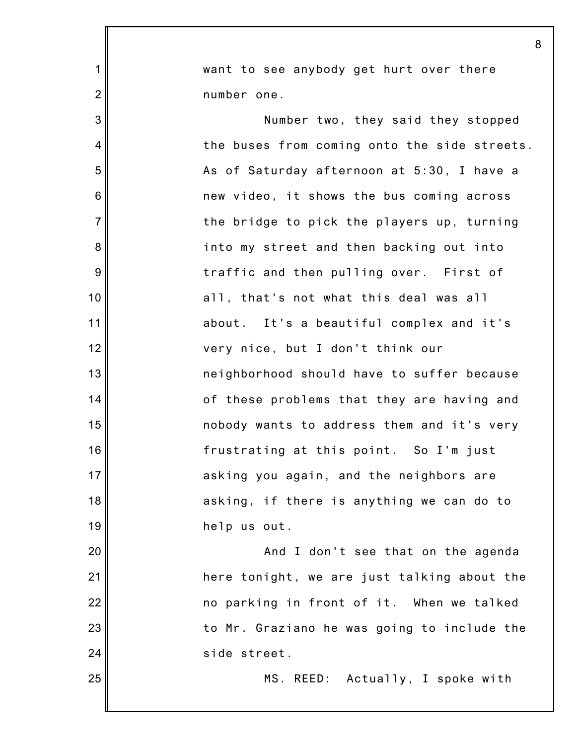|                | 8                                            |
|----------------|----------------------------------------------|
| $\mathbf 1$    | want to see anybody get hurt over there      |
| $\overline{2}$ | number one.                                  |
| 3              | Number two, they said they stopped           |
| 4              | the buses from coming onto the side streets. |
| 5              | As of Saturday afternoon at 5:30, I have a   |
| 6              | new video, it shows the bus coming across    |
| $\overline{7}$ | the bridge to pick the players up, turning   |
| 8              | into my street and then backing out into     |
| 9              | traffic and then pulling over. First of      |
| 10             | all, that's not what this deal was all       |
| 11             | about. It's a beautiful complex and it's     |
| 12             | very nice, but I don't think our             |
| 13             | neighborhood should have to suffer because   |
| 14             | of these problems that they are having and   |
| 15             | nobody wants to address them and it's very   |
| 16             | frustrating at this point. So I'm just       |
| 17             | asking you again, and the neighbors are      |
| 18             | asking, if there is anything we can do to    |
| 19             | help us out.                                 |
| 20             | And I don't see that on the agenda           |
| 21             | here tonight, we are just talking about the  |
| 22             | no parking in front of it. When we talked    |
| 23             | to Mr. Graziano he was going to include the  |
| 24             | side street.                                 |
| 25             | MS. REED: Actually, I spoke with             |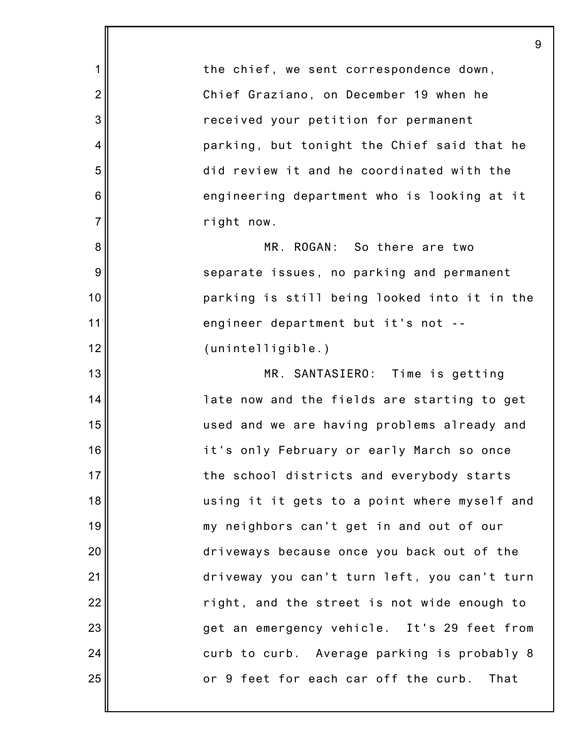1 2 3 4 5 6 7 8 9 10 11 12 13 14 15 16 17 18 19 20 21 22 23 24 25 9 the chief, we sent correspondence down, Chief Graziano, on December 19 when he received your petition for permanent parking, but tonight the Chief said that he did review it and he coordinated with the engineering department who is looking at it right now. MR. ROGAN: So there are two separate issues, no parking and permanent parking is still being looked into it in the engineer department but it's not -- (unintelligible.) MR. SANTASIERO: Time is getting late now and the fields are starting to get used and we are having problems already and it's only February or early March so once the school districts and everybody starts using it it gets to a point where myself and my neighbors can't get in and out of our driveways because once you back out of the driveway you can't turn left, you can't turn right, and the street is not wide enough to get an emergency vehicle. It's 29 feet from curb to curb. Average parking is probably 8 or 9 feet for each car off the curb. That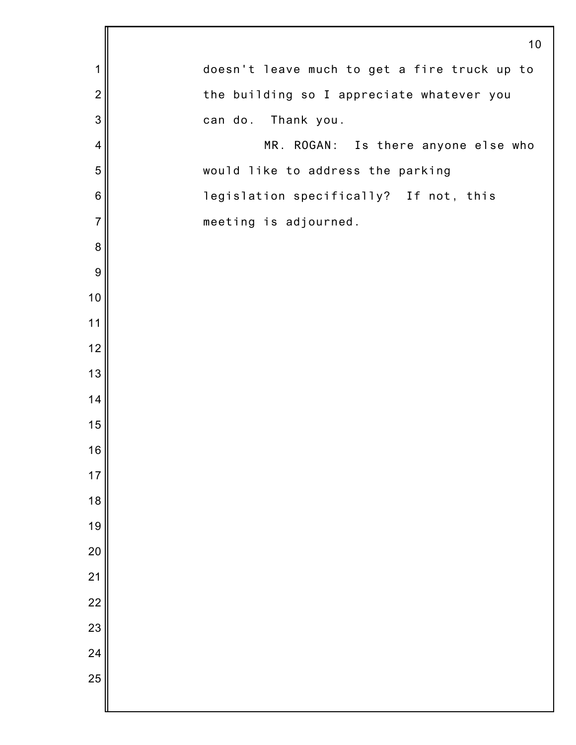|                  | 10                                           |
|------------------|----------------------------------------------|
| 1                | doesn't leave much to get a fire truck up to |
| $\overline{2}$   | the building so I appreciate whatever you    |
| $\mathbf{3}$     | can do. Thank you.                           |
| $\overline{4}$   | MR. ROGAN: Is there anyone else who          |
| 5                | would like to address the parking            |
| $\,6$            | legislation specifically? If not, this       |
| $\overline{7}$   | meeting is adjourned.                        |
| $\boldsymbol{8}$ |                                              |
| $\boldsymbol{9}$ |                                              |
| $10$             |                                              |
| 11               |                                              |
| 12               |                                              |
| 13               |                                              |
| 14               |                                              |
| 15               |                                              |
| 16               |                                              |
| 17               |                                              |
| 18               |                                              |
| 19               |                                              |
| 20               |                                              |
| 21               |                                              |
| 22               |                                              |
| 23               |                                              |
| 24               |                                              |
| 25               |                                              |
|                  |                                              |